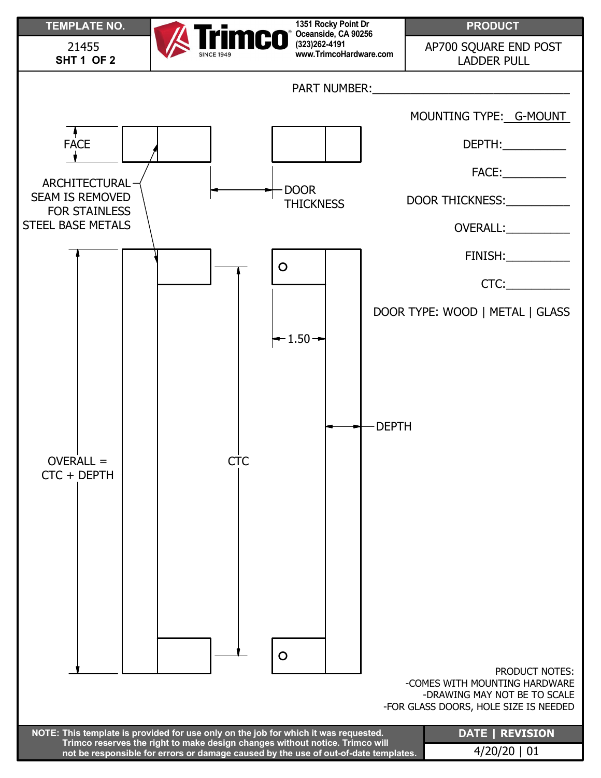